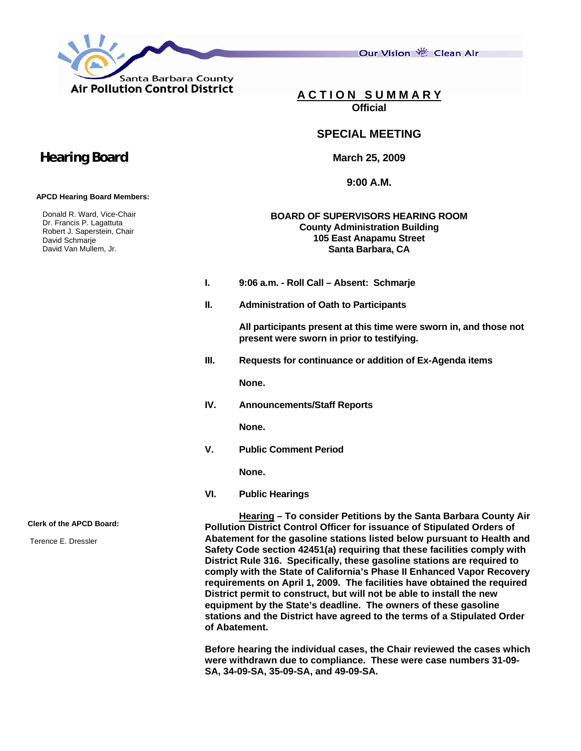

Our Vision 卷 Clean Air

**A C T I O N S U M M A R Y Official**

## **SPECIAL MEETING**

**March 25, 2009** 

**9:00 A.M.** 

## **BOARD OF SUPERVISORS HEARING ROOM County Administration Building 105 East Anapamu Street Santa Barbara, CA**

- **I. 9:06 a.m. Roll Call Absent: Schmarje**
- **II. Administration of Oath to Participants**

 **All participants present at this time were sworn in, and those not present were sworn in prior to testifying.** 

**III. Requests for continuance or addition of Ex-Agenda items** 

**None.** 

**IV. Announcements/Staff Reports** 

 **None.** 

**V. Public Comment Period** 

**None.** 

**VI. Public Hearings** 

**Hearing – To consider Petitions by the Santa Barbara County Air Pollution District Control Officer for issuance of Stipulated Orders of Abatement for the gasoline stations listed below pursuant to Health and Safety Code section 42451(a) requiring that these facilities comply with District Rule 316. Specifically, these gasoline stations are required to comply with the State of California's Phase II Enhanced Vapor Recovery requirements on April 1, 2009. The facilities have obtained the required District permit to construct, but will not be able to install the new equipment by the State's deadline. The owners of these gasoline stations and the District have agreed to the terms of a Stipulated Order of Abatement.** 

**Before hearing the individual cases, the Chair reviewed the cases which were withdrawn due to compliance. These were case numbers 31-09- SA, 34-09-SA, 35-09-SA, and 49-09-SA.** 

## **Hearing Board**

 **APCD Hearing Board Members:** 

 Donald R. Ward, Vice-Chair Dr. Francis P. Lagattuta Robert J. Saperstein, Chair David Schmarje David Van Mullem, Jr.

**Clerk of the APCD Board:** 

Terence E. Dressler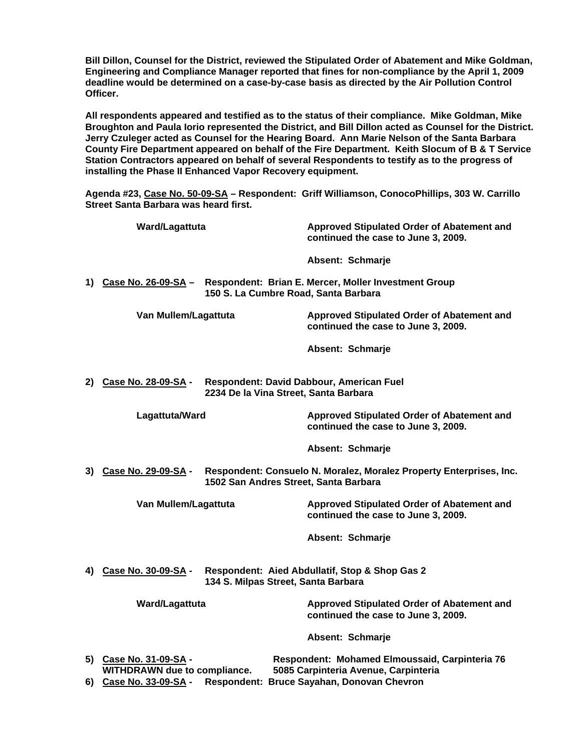**Bill Dillon, Counsel for the District, reviewed the Stipulated Order of Abatement and Mike Goldman, Engineering and Compliance Manager reported that fines for non-compliance by the April 1, 2009 deadline would be determined on a case-by-case basis as directed by the Air Pollution Control Officer.** 

**All respondents appeared and testified as to the status of their compliance. Mike Goldman, Mike Broughton and Paula Iorio represented the District, and Bill Dillon acted as Counsel for the District. Jerry Czuleger acted as Counsel for the Hearing Board. Ann Marie Nelson of the Santa Barbara County Fire Department appeared on behalf of the Fire Department. Keith Slocum of B & T Service Station Contractors appeared on behalf of several Respondents to testify as to the progress of installing the Phase II Enhanced Vapor Recovery equipment.** 

**Agenda #23, Case No. 50-09-SA – Respondent: Griff Williamson, ConocoPhillips, 303 W. Carrillo Street Santa Barbara was heard first.** 

|                                                                                                             | Ward/Lagattuta                                                |                                      | Approved Stipulated Order of Abatement and<br>continued the case to June 3, 2009.      |
|-------------------------------------------------------------------------------------------------------------|---------------------------------------------------------------|--------------------------------------|----------------------------------------------------------------------------------------|
|                                                                                                             |                                                               |                                      | Absent: Schmarje                                                                       |
|                                                                                                             |                                                               | 150 S. La Cumbre Road, Santa Barbara | 1) Case No. 26-09-SA - Respondent: Brian E. Mercer, Moller Investment Group            |
|                                                                                                             | Van Mullem/Lagattuta                                          |                                      | Approved Stipulated Order of Abatement and<br>continued the case to June 3, 2009.      |
|                                                                                                             |                                                               |                                      | Absent: Schmarje                                                                       |
| Respondent: David Dabbour, American Fuel<br>2) Case No. 28-09-SA -<br>2234 De la Vina Street, Santa Barbara |                                                               |                                      |                                                                                        |
|                                                                                                             | Lagattuta/Ward                                                |                                      | Approved Stipulated Order of Abatement and<br>continued the case to June 3, 2009.      |
|                                                                                                             |                                                               |                                      | Absent: Schmarje                                                                       |
| Case No. 29-09-SA -<br>3)<br>1502 San Andres Street, Santa Barbara                                          |                                                               |                                      | Respondent: Consuelo N. Moralez, Moralez Property Enterprises, Inc.                    |
|                                                                                                             | Van Mullem/Lagattuta                                          |                                      | Approved Stipulated Order of Abatement and<br>continued the case to June 3, 2009.      |
|                                                                                                             |                                                               |                                      | Absent: Schmarje                                                                       |
| 4)                                                                                                          | Case No. 30-09-SA -                                           | 134 S. Milpas Street, Santa Barbara  | Respondent: Aied Abdullatif, Stop & Shop Gas 2                                         |
|                                                                                                             | Ward/Lagattuta                                                |                                      | Approved Stipulated Order of Abatement and<br>continued the case to June 3, 2009.      |
|                                                                                                             |                                                               |                                      | Absent: Schmarje                                                                       |
|                                                                                                             | 5) Case No. 31-09-SA -<br><b>WITHDRAWN due to compliance.</b> |                                      | Respondent: Mohamed Elmoussaid, Carpinteria 76<br>5085 Carpinteria Avenue, Carpinteria |
|                                                                                                             | 6) Case No. 33-09-SA -                                        |                                      | Respondent: Bruce Sayahan, Donovan Chevron                                             |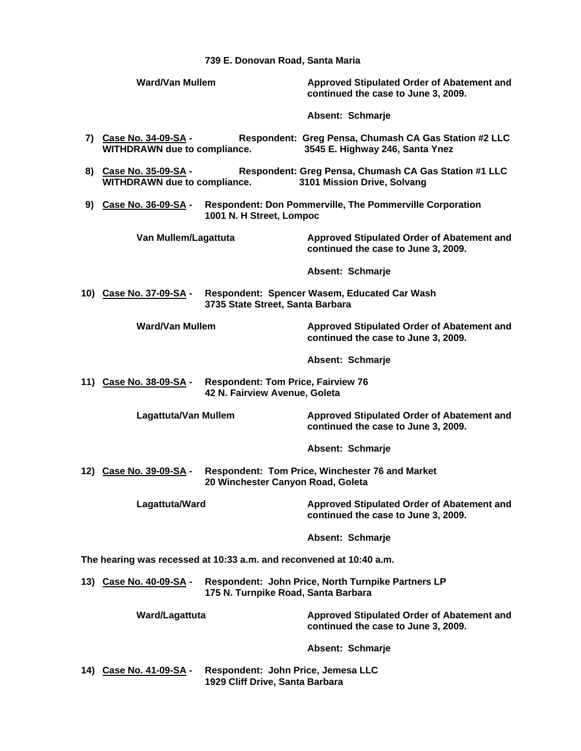**739 E. Donovan Road, Santa Maria** 

|                                                                     | <b>Ward/Van Mullem</b>                                                                                      |                                                                                      | Approved Stipulated Order of Abatement and<br>continued the case to June 3, 2009.        |  |  |
|---------------------------------------------------------------------|-------------------------------------------------------------------------------------------------------------|--------------------------------------------------------------------------------------|------------------------------------------------------------------------------------------|--|--|
|                                                                     |                                                                                                             |                                                                                      | Absent: Schmarje                                                                         |  |  |
|                                                                     | 7) Case No. 34-09-SA -<br><b>WITHDRAWN due to compliance.</b>                                               |                                                                                      | Respondent: Greg Pensa, Chumash CA Gas Station #2 LLC<br>3545 E. Highway 246, Santa Ynez |  |  |
|                                                                     | 8) Case No. 35-09-SA -<br><b>WITHDRAWN due to compliance.</b>                                               |                                                                                      | Respondent: Greg Pensa, Chumash CA Gas Station #1 LLC<br>3101 Mission Drive, Solvang     |  |  |
|                                                                     | 9) Case No. 36-09-SA -<br>1001 N. H Street, Lompoc                                                          |                                                                                      | <b>Respondent: Don Pommerville, The Pommerville Corporation</b>                          |  |  |
|                                                                     | Van Mullem/Lagattuta                                                                                        |                                                                                      | Approved Stipulated Order of Abatement and<br>continued the case to June 3, 2009.        |  |  |
|                                                                     |                                                                                                             |                                                                                      | Absent: Schmarje                                                                         |  |  |
|                                                                     | Respondent: Spencer Wasem, Educated Car Wash<br>10) Case No. 37-09-SA -<br>3735 State Street, Santa Barbara |                                                                                      |                                                                                          |  |  |
|                                                                     | <b>Ward/Van Mullem</b>                                                                                      |                                                                                      | Approved Stipulated Order of Abatement and<br>continued the case to June 3, 2009.        |  |  |
|                                                                     |                                                                                                             |                                                                                      | Absent: Schmarje                                                                         |  |  |
|                                                                     | 11) Case No. 38-09-SA -                                                                                     | <b>Respondent: Tom Price, Fairview 76</b><br>42 N. Fairview Avenue, Goleta           |                                                                                          |  |  |
|                                                                     | <b>Lagattuta/Van Mullem</b>                                                                                 |                                                                                      | Approved Stipulated Order of Abatement and<br>continued the case to June 3, 2009.        |  |  |
|                                                                     |                                                                                                             |                                                                                      | Absent: Schmarje                                                                         |  |  |
|                                                                     | 12) Case No. 39-09-SA -                                                                                     | Respondent: Tom Price, Winchester 76 and Market<br>20 Winchester Canyon Road, Goleta |                                                                                          |  |  |
|                                                                     | Lagattuta/Ward                                                                                              |                                                                                      | Approved Stipulated Order of Abatement and<br>continued the case to June 3, 2009.        |  |  |
|                                                                     |                                                                                                             |                                                                                      | Absent: Schmarje                                                                         |  |  |
| The hearing was recessed at 10:33 a.m. and reconvened at 10:40 a.m. |                                                                                                             |                                                                                      |                                                                                          |  |  |
|                                                                     | 13) Case No. 40-09-SA -                                                                                     | 175 N. Turnpike Road, Santa Barbara                                                  | Respondent: John Price, North Turnpike Partners LP                                       |  |  |
|                                                                     | Ward/Lagattuta                                                                                              |                                                                                      | Approved Stipulated Order of Abatement and<br>continued the case to June 3, 2009.        |  |  |
|                                                                     |                                                                                                             |                                                                                      | Absent: Schmarje                                                                         |  |  |
|                                                                     | 14) Case No. 41-09-SA -                                                                                     | Respondent: John Price, Jemesa LLC<br>1929 Cliff Drive, Santa Barbara                |                                                                                          |  |  |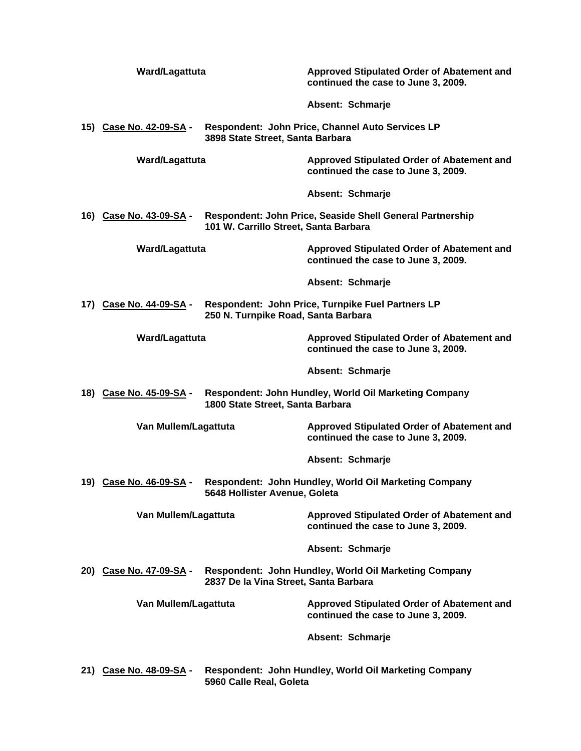|                                                                | Ward/Lagattuta                                              |                                       | Approved Stipulated Order of Abatement and<br>continued the case to June 3, 2009.        |
|----------------------------------------------------------------|-------------------------------------------------------------|---------------------------------------|------------------------------------------------------------------------------------------|
|                                                                |                                                             |                                       | Absent: Schmarje                                                                         |
|                                                                | 15) Case No. 42-09-SA -<br>3898 State Street, Santa Barbara |                                       | Respondent: John Price, Channel Auto Services LP                                         |
|                                                                | Ward/Lagattuta                                              |                                       | Approved Stipulated Order of Abatement and<br>continued the case to June 3, 2009.        |
|                                                                |                                                             |                                       | Absent: Schmarje                                                                         |
|                                                                | 16) Case No. 43-09-SA -                                     | 101 W. Carrillo Street, Santa Barbara | Respondent: John Price, Seaside Shell General Partnership                                |
|                                                                | Ward/Lagattuta                                              |                                       | <b>Approved Stipulated Order of Abatement and</b><br>continued the case to June 3, 2009. |
|                                                                |                                                             |                                       | Absent: Schmarje                                                                         |
| 17) Case No. 44-09-SA -<br>250 N. Turnpike Road, Santa Barbara |                                                             |                                       | Respondent: John Price, Turnpike Fuel Partners LP                                        |
|                                                                | Ward/Lagattuta                                              |                                       | Approved Stipulated Order of Abatement and<br>continued the case to June 3, 2009.        |
|                                                                |                                                             |                                       | Absent: Schmarje                                                                         |
|                                                                | 18) Case No. 45-09-SA -                                     | 1800 State Street, Santa Barbara      | Respondent: John Hundley, World Oil Marketing Company                                    |
|                                                                | Van Mullem/Lagattuta                                        |                                       | Approved Stipulated Order of Abatement and<br>continued the case to June 3, 2009.        |
|                                                                |                                                             |                                       | Absent: Schmarje                                                                         |
|                                                                | 19) Case No. 46-09-SA -                                     | 5648 Hollister Avenue, Goleta         | Respondent: John Hundley, World Oil Marketing Company                                    |
|                                                                | Van Mullem/Lagattuta                                        |                                       | Approved Stipulated Order of Abatement and<br>continued the case to June 3, 2009.        |
|                                                                |                                                             |                                       | Absent: Schmarje                                                                         |
|                                                                | 20) Case No. 47-09-SA -                                     | 2837 De la Vina Street, Santa Barbara | Respondent: John Hundley, World Oil Marketing Company                                    |
|                                                                | Van Mullem/Lagattuta                                        |                                       | Approved Stipulated Order of Abatement and<br>continued the case to June 3, 2009.        |
|                                                                |                                                             |                                       | Absent: Schmarje                                                                         |
|                                                                | 21) Case No. 48-09-SA -                                     | 5960 Calle Real, Goleta               | Respondent: John Hundley, World Oil Marketing Company                                    |